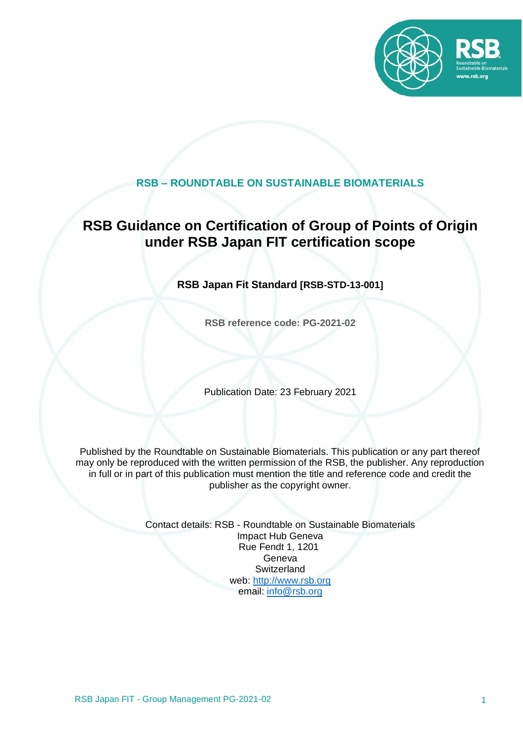

### **RSB – ROUNDTABLE ON SUSTAINABLE BIOMATERIALS**

## **RSB Guidance on Certification of Group of Points of Origin under RSB Japan FIT certification scope**

### **RSB Japan Fit Standard [RSB-STD-13-001]**

**RSB reference code: PG-2021-02**

Publication Date: 23 February 2021

Published by the Roundtable on Sustainable Biomaterials. This publication or any part thereof may only be reproduced with the written permission of the RSB, the publisher. Any reproduction in full or in part of this publication must mention the title and reference code and credit the publisher as the copyright owner.

> Contact details: RSB - Roundtable on Sustainable Biomaterials Impact Hub Geneva Rue Fendt 1, 1201 Geneva **Switzerland** web: [http://www.rsb.org](http://www.rsb.org/) email: [info@rsb.org](mailto:info@rsb.org)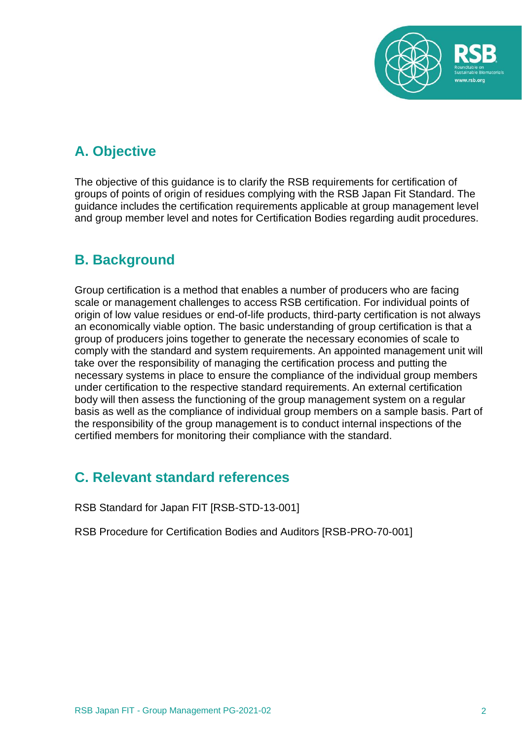

# **A. Objective**

The objective of this guidance is to clarify the RSB requirements for certification of groups of points of origin of residues complying with the RSB Japan Fit Standard. The guidance includes the certification requirements applicable at group management level and group member level and notes for Certification Bodies regarding audit procedures.

### **B. Background**

Group certification is a method that enables a number of producers who are facing scale or management challenges to access RSB certification. For individual points of origin of low value residues or end-of-life products, third-party certification is not always an economically viable option. The basic understanding of group certification is that a group of producers joins together to generate the necessary economies of scale to comply with the standard and system requirements. An appointed management unit will take over the responsibility of managing the certification process and putting the necessary systems in place to ensure the compliance of the individual group members under certification to the respective standard requirements. An external certification body will then assess the functioning of the group management system on a regular basis as well as the compliance of individual group members on a sample basis. Part of the responsibility of the group management is to conduct internal inspections of the certified members for monitoring their compliance with the standard.

## **C. Relevant standard references**

RSB Standard for Japan FIT [RSB-STD-13-001]

RSB Procedure for Certification Bodies and Auditors [RSB-PRO-70-001]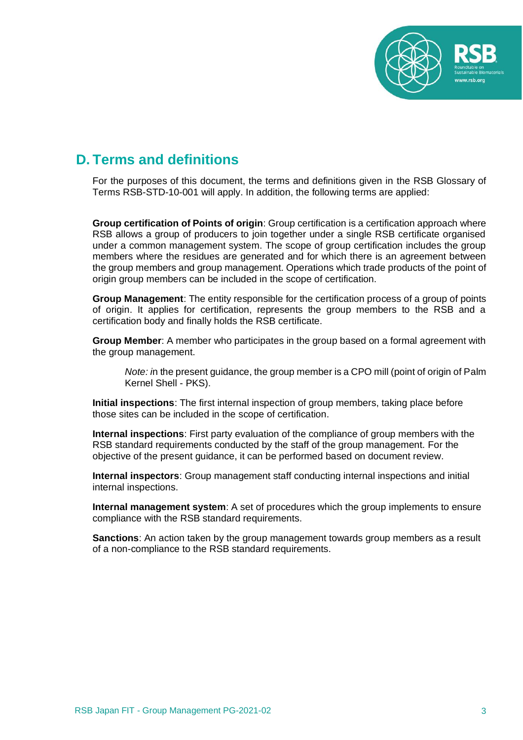

### **D. Terms and definitions**

For the purposes of this document, the terms and definitions given in the RSB Glossary of Terms RSB-STD-10-001 will apply. In addition, the following terms are applied:

**Group certification of Points of origin**: Group certification is a certification approach where RSB allows a group of producers to join together under a single RSB certificate organised under a common management system. The scope of group certification includes the group members where the residues are generated and for which there is an agreement between the group members and group management. Operations which trade products of the point of origin group members can be included in the scope of certification.

**Group Management**: The entity responsible for the certification process of a group of points of origin. It applies for certification, represents the group members to the RSB and a certification body and finally holds the RSB certificate.

**Group Member**: A member who participates in the group based on a formal agreement with the group management.

*Note: in the present quidance, the group member is a CPO mill (point of origin of Palm* Kernel Shell - PKS).

**Initial inspections**: The first internal inspection of group members, taking place before those sites can be included in the scope of certification.

**Internal inspections**: First party evaluation of the compliance of group members with the RSB standard requirements conducted by the staff of the group management. For the objective of the present guidance, it can be performed based on document review.

**Internal inspectors**: Group management staff conducting internal inspections and initial internal inspections.

**Internal management system**: A set of procedures which the group implements to ensure compliance with the RSB standard requirements.

**Sanctions**: An action taken by the group management towards group members as a result of a non-compliance to the RSB standard requirements.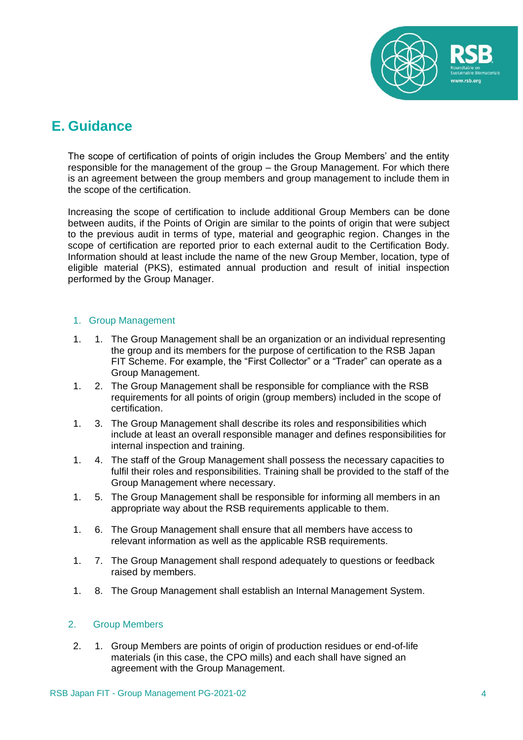

### **E. Guidance**

The scope of certification of points of origin includes the Group Members' and the entity responsible for the management of the group – the Group Management. For which there is an agreement between the group members and group management to include them in the scope of the certification.

Increasing the scope of certification to include additional Group Members can be done between audits, if the Points of Origin are similar to the points of origin that were subject to the previous audit in terms of type, material and geographic region. Changes in the scope of certification are reported prior to each external audit to the Certification Body. Information should at least include the name of the new Group Member, location, type of eligible material (PKS), estimated annual production and result of initial inspection performed by the Group Manager.

#### 1. Group Management

- 1. 1. The Group Management shall be an organization or an individual representing the group and its members for the purpose of certification to the RSB Japan FIT Scheme. For example, the "First Collector" or a "Trader" can operate as a Group Management.
- 1. 2. The Group Management shall be responsible for compliance with the RSB requirements for all points of origin (group members) included in the scope of certification.
- 1. 3. The Group Management shall describe its roles and responsibilities which include at least an overall responsible manager and defines responsibilities for internal inspection and training.
- 1. 4. The staff of the Group Management shall possess the necessary capacities to fulfil their roles and responsibilities. Training shall be provided to the staff of the Group Management where necessary.
- 1. 5. The Group Management shall be responsible for informing all members in an appropriate way about the RSB requirements applicable to them.
- 1. 6. The Group Management shall ensure that all members have access to relevant information as well as the applicable RSB requirements.
- 1. 7. The Group Management shall respond adequately to questions or feedback raised by members.
- 1. 8. The Group Management shall establish an Internal Management System.

#### 2. Group Members

2. 1. Group Members are points of origin of production residues or end-of-life materials (in this case, the CPO mills) and each shall have signed an agreement with the Group Management.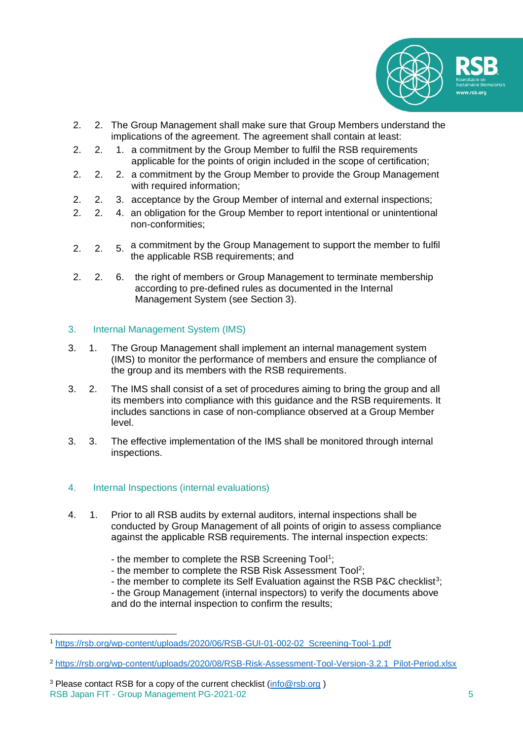

- 2. 2. The Group Management shall make sure that Group Members understand the implications of the agreement. The agreement shall contain at least:
- 2. 2. 1. a commitment by the Group Member to fulfil the RSB requirements applicable for the points of origin included in the scope of certification:
- 2. 2. 2. a commitment by the Group Member to provide the Group Management with required information;
- 2. 2. 3. acceptance by the Group Member of internal and external inspections;
- 2. 2. 4. an obligation for the Group Member to report intentional or unintentional non-conformities;
- 2. 2. 5. a commitment by the Group Management to support the member to fulfil the applicable RSB requirements; and
- 2. 2. 6. the right of members or Group Management to terminate membership according to pre-defined rules as documented in the Internal Management System (see Section 3).

#### 3. Internal Management System (IMS)

- 3. 1. The Group Management shall implement an internal management system (IMS) to monitor the performance of members and ensure the compliance of the group and its members with the RSB requirements.
- 3. 2. The IMS shall consist of a set of procedures aiming to bring the group and all its members into compliance with this guidance and the RSB requirements. It includes sanctions in case of non-compliance observed at a Group Member level.
- 3. 3. The effective implementation of the IMS shall be monitored through internal inspections.

#### 4. Internal Inspections (internal evaluations)

- 4. 1. Prior to all RSB audits by external auditors, internal inspections shall be conducted by Group Management of all points of origin to assess compliance against the applicable RSB requirements. The internal inspection expects:
	- the member to complete the RSB Screening Tool<sup>1</sup>;
	- the member to complete the RSB Risk Assessment Tool<sup>2</sup>;
	- the member to complete its Self Evaluation against the RSB P&C checklist<sup>3</sup>;
	- the Group Management (internal inspectors) to verify the documents above and do the internal inspection to confirm the results;

<sup>1</sup> [https://rsb.org/wp-content/uploads/2020/06/RSB-GUI-01-002-02\\_Screening-Tool-1.pdf](https://rsb.org/wp-content/uploads/2020/06/RSB-GUI-01-002-02_Screening-Tool-1.pdf)

<sup>&</sup>lt;sup>2</sup> [https://rsb.org/wp-content/uploads/2020/08/RSB-Risk-Assessment-Tool-Version-3.2.1\\_Pilot-Period.xlsx](https://rsb.org/wp-content/uploads/2020/08/RSB-Risk-Assessment-Tool-Version-3.2.1_Pilot-Period.xlsx)

RSB Japan FIT - Group Management PG-2021-02 5 <sup>3</sup> Please contact RSB for a copy of the current checklist  $(info@rsb.org)$  $(info@rsb.org)$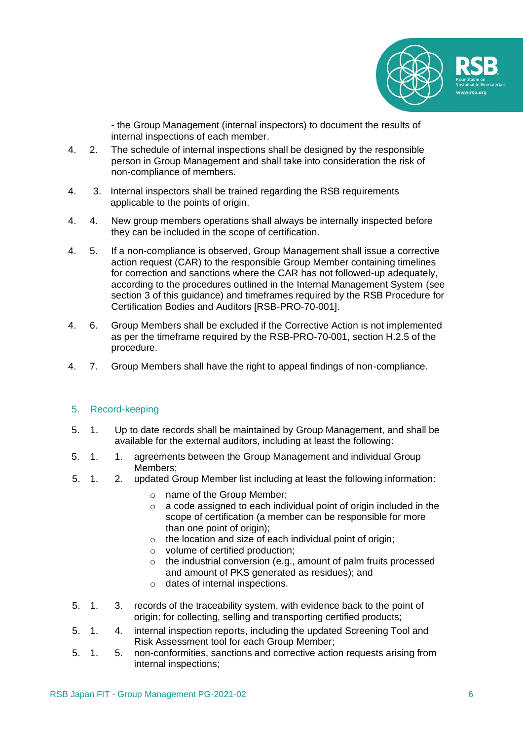

- the Group Management (internal inspectors) to document the results of internal inspections of each member.

- 4. 2. The schedule of internal inspections shall be designed by the responsible person in Group Management and shall take into consideration the risk of non-compliance of members.
- 4. 3. Internal inspectors shall be trained regarding the RSB requirements applicable to the points of origin.
- 4. 4. New group members operations shall always be internally inspected before they can be included in the scope of certification.
- 4. 5. If a non-compliance is observed, Group Management shall issue a corrective action request (CAR) to the responsible Group Member containing timelines for correction and sanctions where the CAR has not followed-up adequately, according to the procedures outlined in the Internal Management System (see section 3 of this guidance) and timeframes required by the RSB Procedure for Certification Bodies and Auditors [RSB-PRO-70-001].
- 4. 6. Group Members shall be excluded if the Corrective Action is not implemented as per the timeframe required by the RSB-PRO-70-001, section H.2.5 of the procedure.
- 4. 7. Group Members shall have the right to appeal findings of non-compliance.

#### 5. Record-keeping

- 5. 1. Up to date records shall be maintained by Group Management, and shall be available for the external auditors, including at least the following:
- 5. 1. 1. agreements between the Group Management and individual Group Members;
- 5. 1. 2. updated Group Member list including at least the following information:
	- o name of the Group Member;
	- $\circ$  a code assigned to each individual point of origin included in the scope of certification (a member can be responsible for more than one point of origin):
	- $\circ$  the location and size of each individual point of origin;
	- o volume of certified production;
	- o the industrial conversion (e.g., amount of palm fruits processed and amount of PKS generated as residues); and
	- o dates of internal inspections.
- 5. 1. 3. records of the traceability system, with evidence back to the point of origin: for collecting, selling and transporting certified products;
- 5. 1. 4. internal inspection reports, including the updated Screening Tool and Risk Assessment tool for each Group Member;
- 5. 1. 5. non-conformities, sanctions and corrective action requests arising from internal inspections;